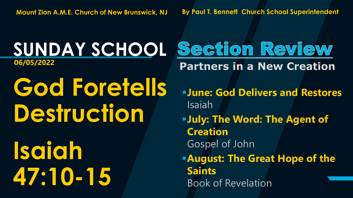**God Foretells Destruction Isaiah 47:10-15**

**SUNDAY SCHOOL Section Review 06/05/2022 Partners in a New Creation**

> ▪**June: God Delivers and Restores** Isaiah

▪**July: The Word: The Agent of Creation** Gospel of John

**EAugust: The Great Hope of the Saints** Book of Revelation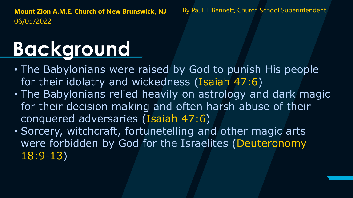# **Background**

- The Babylonians were raised by God to punish His people for their idolatry and wickedness (Isaiah 47:6)
- The Babylonians relied heavily on astrology and dark magic for their decision making and often harsh abuse of their conquered adversaries (Isaiah 47:6)
- Sorcery, witchcraft, fortunetelling and other magic arts were forbidden by God for the Israelites (Deuteronomy 18:9-13)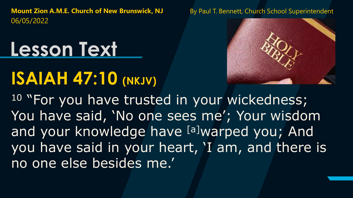# **Lesson Text**

### **ISAIAH 47:10 (NKJV)**



<sup>10</sup> "For you have trusted in your wickedness; You have said, 'No one sees me'; Your wisdom and your knowledge have [a]warped you; And you have said in your heart, 'I am, and there is no one else besides me.'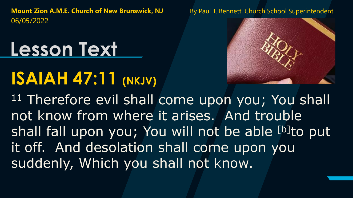# **Lesson Text**

# **ISAIAH 47:11 (NKJV)**



11 Therefore evil shall come upon you; You shall not know from where it arises. And trouble shall fall upon you; You will not be able [b]to put it off. And desolation shall come upon you suddenly, Which you shall not know.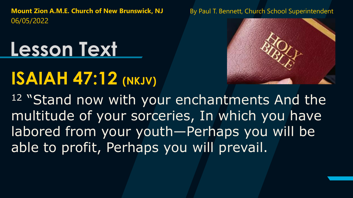# **Lesson Text**

## **ISAIAH 47:12 (NKJV)**



12 "Stand now with your enchantments And the multitude of your sorceries, In which you have labored from your youth—Perhaps you will be able to profit, Perhaps you will prevail.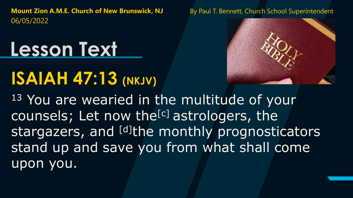# **Lesson Text**

# **ISAIAH 47:13 (NKJV)**



<sup>13</sup> You are wearied in the multitude of your counsels; Let now the<sup>[c]</sup> astrologers, the stargazers, and [d]the monthly prognosticators stand up and save you from what shall come upon you.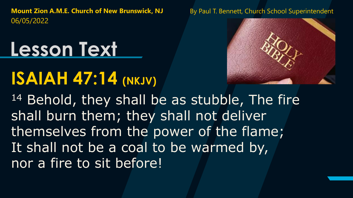# **Lesson Text**

### **ISAIAH 47:14 (NKJV)**



14 Behold, they shall be as stubble, The fire shall burn them; they shall not deliver themselves from the power of the flame; It shall not be a coal to be warmed by, nor a fire to sit before!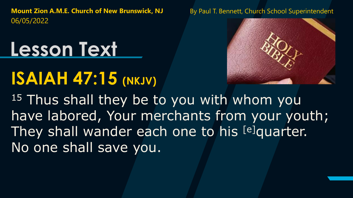# **Lesson Text**

## **ISAIAH 47:15 (NKJV)**



15 Thus shall they be to you with whom you have labored, Your merchants from your youth; They shall wander each one to his [e]quarter. No one shall save you.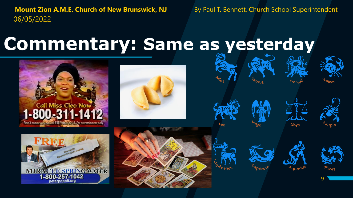peterpopoff.org

#### **Commentary: Same as yesterday**



















9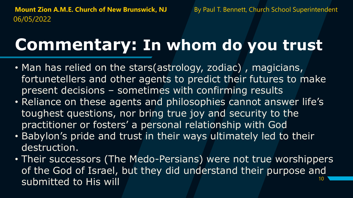#### **Commentary: In whom do you trust**

- Man has relied on the stars(astrology, zodiac) , magicians, fortunetellers and other agents to predict their futures to make present decisions – sometimes with confirming results
- Reliance on these agents and philosophies cannot answer life's toughest questions, nor bring true joy and security to the practitioner or fosters' a personal relationship with God
- Babylon's pride and trust in their ways ultimately led to their destruction.
- 10 • Their successors (The Medo-Persians) were not true worshippers of the God of Israel, but they did understand their purpose and submitted to His will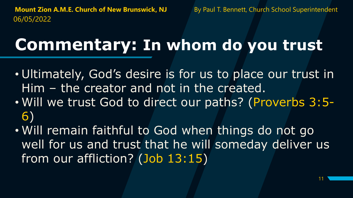#### **Commentary: In whom do you trust**

- Ultimately, God's desire is for us to place our trust in Him – the creator and not in the created.
- Will we trust God to direct our paths? (Proverbs 3:5- 6)
- Will remain faithful to God when things do not go well for us and trust that he will someday deliver us from our affliction? (Job 13:15)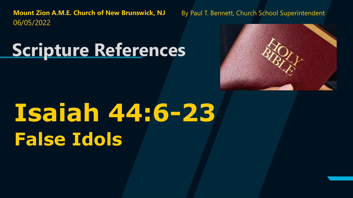**Scripture References**



# **Isaiah 44:6-23 False Idols**